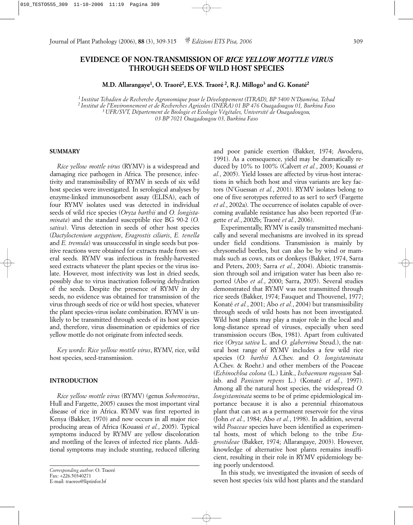# **EVIDENCE OF NON-TRANSMISSION OF** *RICE YELLOW MOTTLE VIRUS* **THROUGH SEEDS OF WILD HOST SPECIES**

**M.D. Allarangaye1, O. Traoré2, E.V.S. Traoré 2, R.J. Millogo3 and G. Konaté2**

*1 Institut Tchadien de Recherche Agronomique pour le Développement (ITRAD), BP 5400 N'Djaména, Tchad 2 Institut de l'Environnement et de Recherches Agricoles (INERA) 01 BP 476 Ouagadougou 01, Burkina Faso 3 UFR/SVT, Département de Biologie et Ecologie Végétales, Université de Ouagadougou, 03 BP 7021 Ouagadougou 03, Burkina Faso*

### **SUMMARY**

*Rice yellow mottle virus* (RYMV) is a widespread and damaging rice pathogen in Africa. The presence, infectivity and transmissibility of RYMV in seeds of six wild host species were investigated. In serological analyses by enzyme-linked immunosorbent assay (ELISA), each of four RYMV isolates used was detected in individual seeds of wild rice species (*Oryza barthii* and *O. longistaminata*) and the standard susceptible rice BG 90-2 (*O. sativa*). Virus detection in seeds of other host species (*Dactyloctenium aegyptium*, *Eragrostis ciliaris*, *E. tenella* and *E. tremula*) was unsuccessful in single seeds but positive reactions were obtained for extracts made from several seeds. RYMV was infectious in freshly-harvested seed extracts whatever the plant species or the virus isolate. However, most infectivity was lost in dried seeds, possibly due to virus inactivation following dehydration of the seeds. Despite the presence of RYMV in dry seeds, no evidence was obtained for transmission of the virus through seeds of rice or wild host species, whatever the plant species-virus isolate combination. RYMV is unlikely to be transmitted through seeds of its host species and, therefore, virus dissemination or epidemics of rice yellow mottle do not originate from infected seeds.

*Key words*: *Rice yellow mottle virus*, RYMV, rice, wild host species, seed-transmission.

# **INTRODUCTION**

*Rice yellow mottle virus* (RYMV) (genus *Sobemovirus*, Hull and Fargette, 2005) causes the most important viral disease of rice in Africa. RYMV was first reported in Kenya (Bakker, 1970) and now occurs in all major riceproducing areas of Africa (Kouassi *et al.*, 2005). Typical symptoms induced by RYMV are yellow discoloration and mottling of the leaves of infected rice plants. Additional symptoms may include stunting, reduced tillering

and poor panicle exertion (Bakker, 1974; Awoderu, 1991). As a consequence, yield may be dramatically reduced by 10% to 100% (Calvert *et al.*, 2003; Kouassi *et al.*, 2005). Yield losses are affected by virus-host interactions in which both host and virus variants are key factors (N'Guessan *et al.*, 2001). RYMV isolates belong to one of five serotypes referred to as ser1 to ser5 (Fargette *et al.*, 2002a). The occurrence of isolates capable of overcoming available resistance has also been reported (Fargette *et al.*, 2002b; Traoré *et al.*, 2006).

Experimentally, RYMV is easily transmitted mechanically and several mechanisms are involved in its spread under field conditions. Transmission is mainly by chrysomelid beetles, but can also be by wind or mammals such as cows, rats or donkeys (Bakker, 1974, Sarra and Peters, 2003; Sarra *et al.*, 2004). Abiotic transmission through soil and irrigation water has been also reported (Abo *et al.*, 2000; Sarra, 2005). Several studies demonstrated that RYMV was not transmitted through rice seeds (Bakker, 1974; Fauquet and Thouvenel, 1977; Konaté *et al.*, 2001; Abo *et al.*, 2004) but transmissibility through seeds of wild hosts has not been investigated. Wild host plants may play a major role in the local and long-distance spread of viruses, especially when seed transmission occurs (Bos, 1981). Apart from cultivated rice (*Oryza sativa* L. and *O. glaberrima* Steud.), the natural host range of RYMV includes a few wild rice species (*O. barthii* A.Chev. and *O. longistaminata* A.Chev. & Roehr.) and other members of the Poaceae (*Echinochloa colona* (L.) Link., *Ischaemum rugosum* Salisb. and *Panicum repens* L.) (Konaté *et al.*, 1997). Among all the natural host species, the widespread *O. longistaminata* seems to be of prime epidemiological importance because it is also a perennial rhizomatous plant that can act as a permanent reservoir for the virus (John *et al.*, 1984; Abo *et al.*, 1998). In addition, several wild *Poaceae* species have been identified as experimental hosts, most of which belong to the tribe *Eragrostideae* (Bakker, 1974; Allarangaye, 2003). However, knowledge of alternative host plants remains insufficient, resulting in their role in RYMV epidemiology being poorly understood.

In this study, we investigated the invasion of seeds of seven host species (six wild host plants and the standard

*Corresponding author*: O. Traoré Fax: +226.50340271 E-mail: traoreo@liptinfor.bf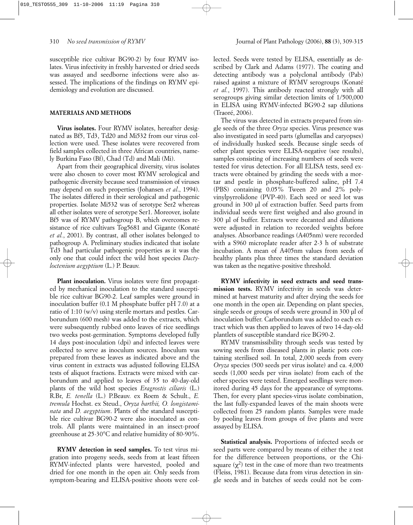susceptible rice cultivar BG90-2) by four RYMV isolates. Virus infectivity in freshly harvested or dried seeds was assayed and seedborne infections were also assessed. The implications of the findings on RYMV epidemiology and evolution are discussed.

# **MATERIALS AND METHODS**

**Virus isolates.** Four RYMV isolates, hereafter designated as Bf5, Td3, Td20 and Mi532 from our virus collection were used. These isolates were recovered from field samples collected in three African countries, namely Burkina Faso (Bf), Chad (Td) and Mali (Mi).

Apart from their geographical diversity, virus isolates were also chosen to cover most RYMV serological and pathogenic diversity because seed transmission of viruses may depend on such properties (Johansen *et al*., 1994). The isolates differed in their serological and pathogenic properties. Isolate Mi532 was of serotype Ser2 whereas all other isolates were of serotype Ser1. Moreover, isolate Bf5 was of RYMV pathogroup B, which overcomes resistance of rice cultivars Tog5681 and Gigante (Konaté *et al.*, 2001). By contrast, all other isolates belonged to pathogroup A. Preliminary studies indicated that isolate Td3 had particular pathogenic properties as it was the only one that could infect the wild host species *Dactyloctenium aegyptium* (L.) P. Beauv.

**Plant inoculation.** Virus isolates were first propagated by mechanical inoculation to the standard susceptible rice cultivar BG90-2. Leaf samples were ground in inoculation buffer (0.1 M phosphate buffer pH 7.0) at a ratio of 1:10 (w/v) using sterile mortars and pestles. Carborundum (600 mesh) was added to the extracts, which were subsequently rubbed onto leaves of rice seedlings two weeks post-germination. Symptoms developed fully 14 days post-inoculation (dpi) and infected leaves were collected to serve as inoculum sources. Inoculum was prepared from these leaves as indicated above and the virus content in extracts was adjusted following ELISA tests of aliquot fractions. Extracts were mixed with carborundum and applied to leaves of 35 to 40-day-old plants of the wild host species *Eragrostis ciliaris* (L.) R.Br, *E. tenella* (L.) P.Beauv. ex Roem & Schult., *E. tremula* Hochst. ex Steud., *Oryza barthii, O. longistaminata* and *D. aegyptium*. Plants of the standard susceptible rice cultivar BG90-2 were also inoculated as controls. All plants were maintained in an insect-proof greenhouse at 25-30°C and relative humidity of 80-90%.

**RYMV detection in seed samples.** To test virus migration into progeny seeds, seeds from at least fifteen RYMV-infected plants were harvested, pooled and dried for one month in the open air. Only seeds from symptom-bearing and ELISA-positive shoots were collected. Seeds were tested by ELISA, essentially as described by Clark and Adams (1977). The coating and detecting antibody was a polyclonal antibody (Pab) raised against a mixture of RYMV serogroups (Konaté *et al.*, 1997). This antibody reacted strongly with all serogroups giving similar detection limits of 1/500,000 in ELISA using RYMV-infected BG90-2 sap dilutions (Traoré, 2006).

The virus was detected in extracts prepared from single seeds of the three *Oryza* species. Virus presence was also investigated in seed parts (glumellas and caryopses) of individually husked seeds. Because single seeds of other plant species were ELISA-negative (see results), samples consisting of increasing numbers of seeds were tested for virus detection. For all ELISA tests, seed extracts were obtained by grinding the seeds with a mortar and pestle in phosphate-buffered saline, pH 7.4 (PBS) containing 0.05% Tween 20 and 2% polyvinylpyrrolidone (PVP-40). Each seed or seed lot was ground in 300 µl of extraction buffer. Seed parts from individual seeds were first weighed and also ground in 300 µl of buffer. Extracts were decanted and dilutions were adjusted in relation to recorded weights before analyses. Absorbance readings (A405nm) were recorded with a S960 microplate reader after 2-3 h of substrate incubation. A mean of A405nm values from seeds of healthy plants plus three times the standard deviation was taken as the negative-positive threshold.

**RYMV infectivity in seed extracts and seed transmission tests.** RYMV infectivity in seeds was determined at harvest maturity and after drying the seeds for one month in the open air. Depending on plant species, single seeds or groups of seeds were ground in 300 µl of inoculation buffer. Carborundum was added to each extract which was then applied to leaves of two 14-day-old plantlets of susceptible standard rice BG90-2.

RYMV transmissibility through seeds was tested by sowing seeds from diseased plants in plastic pots containing sterilised soil. In total, 2,000 seeds from every *Oryza* species (500 seeds per virus isolate) and ca. 4,000 seeds (1,000 seeds per virus isolate) from each of the other species were tested. Emerged seedlings were monitored during 45 days for the appearance of symptoms. Then, for every plant species-virus isolate combination, the last fully-expanded leaves of the main shoots were collected from 25 random plants. Samples were made by pooling leaves from groups of five plants and were assayed by ELISA.

**Statistical analysis.** Proportions of infected seeds or seed parts were compared by means of either the z test for the difference between proportions, or the Chisquare  $(\chi^2)$  test in the case of more than two treatments (Fleiss, 1981). Because data from virus detection in single seeds and in batches of seeds could not be com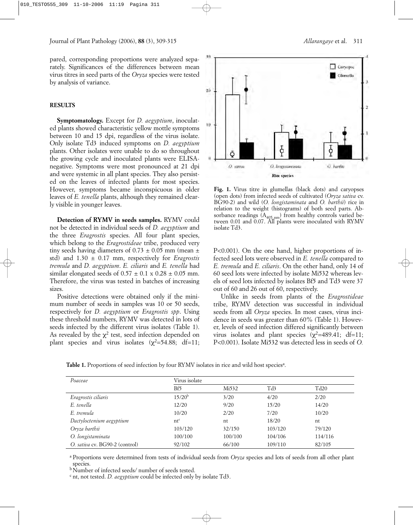pared, corresponding proportions were analyzed separately. Significances of the differences between mean virus titres in seed parts of the *Oryza* species were tested by analysis of variance.

# **RESULTS**

**Symptomatology.** Except for *D. aegyptium*, inoculated plants showed characteristic yellow mottle symptoms between 10 and 15 dpi, regardless of the virus isolate. Only isolate Td3 induced symptoms on *D. aegyptium* plants. Other isolates were unable to do so throughout the growing cycle and inoculated plants were ELISAnegative. Symptoms were most pronounced at 21 dpi and were systemic in all plant species. They also persisted on the leaves of infected plants for most species. However, symptoms became inconspicuous in older leaves of *E. tenella* plants, although they remained clearly visible in younger leaves.

**Detection of RYMV in seeds samples.** RYMV could not be detected in individual seeds of *D. aegyptium* and the three *Eragrostis* species. All four plant species, which belong to the *Eragrostideae* tribe, produced very tiny seeds having diameters of  $0.73 \pm 0.05$  mm (mean  $\pm$ std) and 1.30 ± 0.17 mm, respectively for *Eragrostis tremula* and *D. aegyptium*. *E. ciliaris* and *E. tenella* had similar elongated seeds of  $0.57 \pm 0.1 \times 0.28 \pm 0.05$  mm. Therefore, the virus was tested in batches of increasing sizes.

Positive detections were obtained only if the minimum number of seeds in samples was 10 or 50 seeds, respectively for *D. aegyptium* or *Eragrostis spp*. Using these threshold numbers, RYMV was detected in lots of seeds infected by the different virus isolates (Table 1). As revealed by the  $\chi^2$  test, seed infection depended on plant species and virus isolates  $(\chi^2=54.88; df=11;$ 



**Fig. 1.** Virus titre in glumellas (black dots) and caryopses (open dots) from infected seeds of cultivated (*Oryza sativa* cv. BG90-2) and wild (*O. longistaminata* and *O. barthii*) rice in relation to the weight (histograms) of both seed parts. Absorbance readings  $(A_{405 \text{ nm}})$  from healthy controls varied between 0.01 and 0.07. All plants were inoculated with RYMV isolate Td3.

P<0.001). On the one hand, higher proportions of infected seed lots were observed in *E. tenella* compared to *E. tremula* and *E. ciliaris*. On the other hand, only 14 of 60 seed lots were infected by isolate Mi532 whereas levels of seed lots infected by isolates Bf5 and Td3 were 37 out of 60 and 26 out of 60, respectively.

Unlike in seeds from plants of the *Eragrostideae* tribe, RYMV detection was successful in individual seeds from all *Oryza* species. In most cases, virus incidence in seeds was greater than 60% (Table 1). However, levels of seed infection differed significantly between virus isolates and plant species  $(\chi^2=489.41; df=11;$ P<0.001). Isolate Mi532 was detected less in seeds of *O.*

Table 1. Proportions of seed infection by four RYMV isolates in rice and wild host species<sup>a</sup>.

| Poaceae                        | Virus isolate |         |         |         |
|--------------------------------|---------------|---------|---------|---------|
|                                | Bf5           | Mi532   | Td3     | Td20    |
| Eragrostis ciliaris            | $15/20^{b}$   | 3/20    | 4/20    | 2/20    |
| E. tenella                     | 12/20         | 9/20    | 15/20   | 14/20   |
| E. tremula                     | 10/20         | 2/20    | 7/20    | 10/20   |
| Dactyloctenium aegyptium       | $nt^c$        | nt      | 18/20   | nt      |
| Oryza barthii                  | 103/120       | 32/150  | 103/120 | 79/120  |
| O. longistaminata              | 100/100       | 100/100 | 104/106 | 114/116 |
| O. sativa cv. BG90-2 (control) | 92/102        | 66/100  | 109/110 | 82/105  |

<sup>a</sup> Proportions were determined from tests of individual seeds from *Oryza* species and lots of seeds from all other plant species.

bNumber of infected seeds/ number of seeds tested.

<sup>c</sup> nt, not tested. *D. aegyptium* could be infected only by isolate Td3.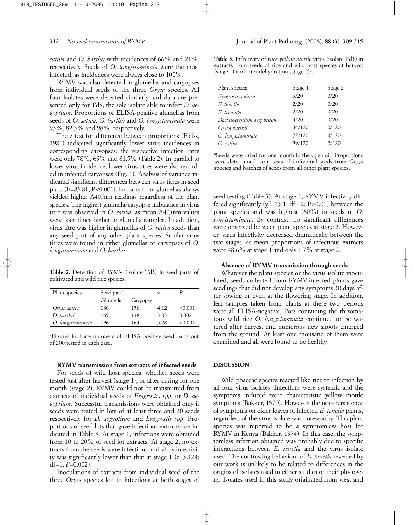*sativa* and *O. barthii* with incidences of 66% and 21%, respectively. Seeds of *O. longistaminata* were the most infected, as incidences were always close to 100%.

RYMV was also detected in glumellas and caryopses from individual seeds of the three *Oryza* species. All four isolates were detected similarly and data are presented only for Td3, the sole isolate able to infect *D. aegyptium*. Proportions of ELISA-positive glumellas from seeds of *O. sativa, O. barthii* and *O. longistaminata* were 93%, 82.5% and 98%, respectively.

The z test for difference between proportions (Fleiss, 1981) indicated significantly lower virus incidences in corresponding caryopses; the respective infection rates were only 78%, 69% and 81.5% (Table 2). In parallel to lower virus incidence, lower virus titres were also recorded in infected caryopses (Fig. 1). Analysis of variance indicated significant differences between virus titres in seed parts (F=83.81; P<0.001). Extracts from glumellas always yielded higher A405nm readings regardless of the plant species. The highest glumella/caryopse imbalance in virus titre was observed in *O. sativa*, as mean A405nm values were four times higher in glumella samples. In addition, virus titre was higher in glumellas of *O. sativa* seeds than any seed part of any other plant species. Similar virus titres were found in either glumellas or caryopses of *O. longistaminata* and *O. barthii*.

**Table 2.** Detection of RYMV (isolate Td3) in seed parts of cultivated and wild rice species.

| Plant species     | Seed part <sup>a</sup> |          | Z    |         |
|-------------------|------------------------|----------|------|---------|
|                   | Glumella               | Caryopse |      |         |
| Oryza sativa      | 186                    | 156      | 4.12 | < 0.001 |
| O. barthii        | 165                    | 138      | 3.03 | 0.002   |
| O. longistaminata | 196                    | 163      | 5.28 | < 0.001 |

a Figures indicate numbers of ELISA-positive seed parts out of 200 tested in each case.

#### **RYMV transmission from extracts of infected seeds**

For seeds of wild host species, whether seeds were tested just after harvest (stage 1), or after drying for one month (stage 2), RYMV could not be transmitted from extracts of individual seeds of *Eragrostis spp.* or *D. aegyptium.* Successful transmissions were obtained only if seeds were tested in lots of at least three and 20 seeds respectively for *D. aegyptium* and *Eragrostis spp*. Proportions of seed lots that gave infectious extracts are indicated in Table 3. At stage 1, infections were obtained from 10 to 20% of seed lot extracts. At stage 2, no extracts from the seeds were infectious and virus infectivity was significantly lower than that at stage  $1$  ( $z=3.124$ ; df=1; *P*=0.002).

Inoculations of extracts from individual seed of the three *Oryza* species led to infections at both stages of

**Table 3.** Infectivity of *Rice yellow mottle* virus (isolate Td3) in extracts from seeds of rice and wild host species at harvest (stage 1) and after dehydration (stage 2)<sup>a</sup>.

| Plant species            | Stage 1 | Stage 2 |
|--------------------------|---------|---------|
| Eragrostis ciliaris      | 3/20    | 0/20    |
| E tenella                | 2/20    | 0/20    |
| E tremula                | 2/20    | 0/20    |
| Dactyloctenium aegyptium | 4/20    | 0/20    |
| Oryza barthii            | 44/120  | 0/120   |
| O. longistaminata        | 72/120  | 4/120   |
| O. sativa                | 59/120  | 2/120   |

a Seeds were dried for one month in the open air. Proportions were determined from tests of individual seeds from *Oryza* species and batches of seeds from all other plant species.

seed testing (Table 3). At stage 1, RYMV infectivity differed significantly  $(\chi^2=13.1; df= 2; P>0.01)$  between the plant species and was highest (60%) in seeds of *O. longistaminata*. By contrast, no significant differences were observed between plant species at stage 2. However, virus infectivity decreased dramatically between the two stages, as mean proportions of infectious extracts were 48.6% at stage 1 and only 1.7% at stage 2.

### **Absence of RYMV transmission through seeds**

Whatever the plant species or the virus isolate inoculated, seeds collected from RYMV-infected plants gave seedlings that did not develop any symptoms 30 days after sowing or even at the flowering stage. In addition, leaf samples taken from plants at these two periods were all ELISA-negative. Pots containing the rhizomatous wild rice *O. longistaminata* continued to be watered after harvest and numerous new shoots emerged from the ground. At least one thousand of them were examined and all were found to be healthy.

### **DISCUSSION**

Wild poaceae species reacted like rice to infection by all four virus isolates. Infections were systemic and the symptoms induced were characteristic yellow mottle symptoms (Bakker, 1970). However, the non-persistence of symptoms on older leaves of infected *E. tenella* plants, regardless of the virus isolate was noteworthy. This plant species was reported to be a symptomless host for RYMV in Kenya (Bakker, 1974). In this case, the symptomless infection obtained was probably due to specific interactions between *E. tenella* and the virus isolate used. The contrasting behaviour of *E. tenella* revealed by our work is unlikely to be related to differences in the origins of isolates used in either studies or their phylogeny. Isolates used in this study originated from west and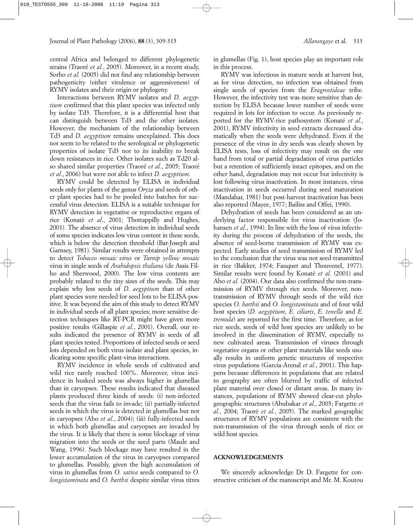central Africa and belonged to different phylogenetic strains (Traoré *et al.*, 2005). Moreover, in a recent study, Sorho *et al.* (2005) did not find any relationship between pathogenicity (either virulence or aggressiveness) of RYMV isolates and their origin or phylogeny.

Interactions between RYMV isolates and *D. aegyptium* confirmed that this plant species was infected only by isolate Td3. Therefore, it is a differential host that can distinguish between Td3 and the other isolates. However, the mechanism of the relationship between Td3 and *D. aegyptium* remains unexplained. This does not seem to be related to the serological or phylogenetic properties of isolate Td3 nor to its inability to break down resistances in rice. Other isolates such as Td20 also shared similar properties (Traoré *et al.*, 2005; Traoré *et al.*, 2006) but were not able to infect *D. aegyptium*.

RYMV could be detected by ELISA in individual seeds only for plants of the genus *Oryza* and seeds of other plant species had to be pooled into batches for successful virus detection. ELISA is a suitable technique for RYMV detection in vegetative or reproductive organs of rice (Konaté *et al.*, 2001; Thottappilly and Hughes, 2001). The absence of virus detection in individual seeds of some species indicates low virus content in these seeds, which is below the detection threshold (Bar-Joseph and Garnsey, 1981). Similar results were obtained in attempts to detect *Tobacco mosaic virus* or *Turnip yellow mosaic* virus in single seeds of *Arabidopsis thaliana* (de Assis Filho and Sherwood, 2000). The low virus contents are probably related to the tiny sizes of the seeds. This may explain why less seeds of *D. aegyptium* than of other plant species were needed for seed lots to be ELISA-positive. It was beyond the aim of this study to detect RYMV in individual seeds of all plant species; more sensitive detection techniques like RT-PCR might have given more positive results (Gillaspie *et al.*, 2001). Overall, our results indicated the presence of RYMV in seeds of all plant species tested. Proportions of infected seeds or seed lots depended on both virus isolate and plant species, indicating some specific plant-virus interactions.

RYMV incidence in whole seeds of cultivated and wild rice rarely reached 100%. Moreover, virus incidence in husked seeds was always higher in glumellas than in caryopses. These results indicated that diseased plants produced three kinds of seeds: (i) non-infected seeds that the virus fails to invade; (ii) partially-infected seeds in which the virus is detected in glumellas but not in caryopses (Abo *et al.*, 2004); (iii) fully-infected seeds in which both glumellas and caryopses are invaded by the virus. It is likely that there is some blockage of virus migration into the seeds or the seed parts (Maule and Wang, 1996). Such blockage may have resulted in the lower accumulation of the virus in caryopses compared to glumellas. Possibly, given the high accumulation of virus in glumellas from *O. sativa* seeds compared to *O. longistaminata* and *O. barthii* despite similar virus titres in glumellas (Fig. 1), host species play an important role in this process.

RYMV was infectious in mature seeds at harvest but, as for virus detection, no infection was obtained from single seeds of species from the *Eragrostideae* tribe. However, the infectivity test was more sensitive than detection by ELISA because lower number of seeds were required in lots for infection to occur. As previously reported for the RYMV-rice pathosystem (Konaté *et al.*, 2001), RYMV infectivity in seed extracts decreased dramatically when the seeds were dehydrated. Even if the presence of the virus in dry seeds was clearly shown by ELISA tests, loss of infectivity may result on the one hand from total or partial degradation of virus particles but a retention of sufficiently intact epitopes, and on the other hand, degradation may not occur but infectivity is lost following virus inactivation. In most instances, virus inactivation in seeds occurred during seed maturation (Mandahar, 1981) but post-harvest inactivation has been also reported (Mayee, 1977; Bailiss and Offei, 1990).

Dehydration of seeds has been considered as an underlying factor responsible for virus inactivation (Johansen *et al.*, 1994). In line with the loss of virus infectivity during the process of dehydration of the seeds, the absence of seed-borne transmission of RYMV was expected. Early studies of seed transmission of RYMV led to the conclusion that the virus was not seed-transmitted in rice (Bakker, 1974; Fauquet and Thouvenel, 1977). Similar results were found by Konaté *et al.* (2001) and Abo *et al.* (2004). Our data also confirmed the non-transmission of RYMV through rice seeds. Moreover, nontransmission of RYMV through seeds of the wild rice species *O. barthii* and *O. longistaminata* and of four wild host species (*D. aegyptium*, *E. ciliaris*, *E. tenella* and *E. tremula*) are reported for the first time. Therefore, as for rice seeds, seeds of wild host species are unlikely to be involved in the dissemination of RYMV, especially to new cultivated areas. Transmission of viruses through vegetative organs or other plant materials like seeds usually results in uniform genetic structures of respective virus populations (Garcia-Arenal *et al.*, 2001). This happens because differences in populations that are related to geography are often blurred by traffic of infected plant material over closed or distant areas. In many instances, populations of RYMV showed clear-cut phylogeographic structures (Abubakar *et al.*, 2003; Fargette *et al.*, 2004; Traoré *et al.*, 2005). The marked geographic structures of RYMV populations are consistent with the non-transmission of the virus through seeds of rice or wild host species.

### **ACKNOWLEDGEMENTS**

We sincerely acknowledge Dr D. Fargette for constructive criticism of the manuscript and Mr. M. Koutou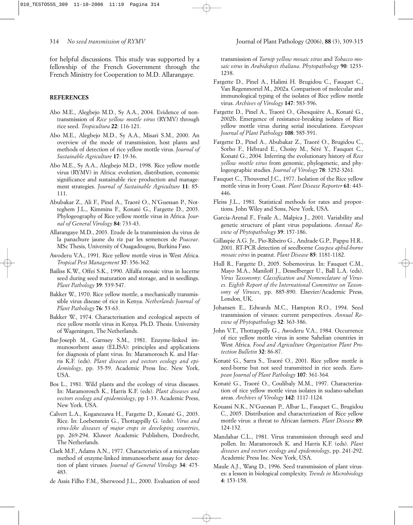for helpful discussions. This study was supported by a fellowship of the French Government through the French Ministry for Cooperation to M.D. Allarangaye.

# **REFERENCES**

- Abo M.E., Alegbejo M.D., Sy A.A., 2004. Evidence of nontransmission of *Rice yellow mottle virus* (RYMV) through rice seed. *Tropicultura* **22**: 116-121.
- Abo M.E., Alegbejo M.D., Sy A.A., Misari S.M., 2000. An overview of the mode of transmission, host plants and methods of detection of rice yellow mottle virus. *Journal of Sustainable Agriculture* **17**: 19-36.
- Abo M.E., Sy A.A., Alegbejo M.D., 1998. Rice yellow mottle virus (RYMV) in Africa: evolution, distribution, economic significance and sustainable rice production and management strategies. *Journal of Sustainable Agriculture* **11**: 85- 111.
- Abubakar Z., Ali F., Pinel A., Traoré O., N'Guessan P., Notteghem J.L., Kimmins F., Konaté G., Fargette D., 2003. Phylogeography of Rice yellow mottle virus in Africa. *Journal of General Virology* **84**: 733-43.
- Allarangaye M.D., 2003. Etude de la transmission du virus de la panachure jaune du riz par les semences de *Poaceae*. MSc Thesis, University of Ouagadougou, Burkina Faso.
- Awoderu V.A., 1991. Rice yellow mottle virus in West Africa. *Tropical Pest Management* **37**: 356-362*.*
- Bailiss K.W., Offei S.K., 1990. Alfalfa mosaic virus in lucerne seed during seed maturation and storage, and in seedlings. *Plant Pathology* **39**: 539-547.
- Bakker W., 1970. Rice yellow mottle, a mechanically transmissible virus disease of rice in Kenya. *Netherlands Journal of Plant Pathology* **76**: 53-63.
- Bakker W., 1974. Characterisation and ecological aspects of rice yellow mottle virus in Kenya. Ph.D. Thesis. University of Wageningen, The Netherlands.
- Bar-Joseph M., Garnsey S.M., 1981. Enzyme-linked immunosorbent assay (ELISA): principles and applications for diagnosis of plant virus. In: Maramorosch K. and Harris K.F. (eds). *Plant diseases and vectors ecology and epidemiology*, pp. 35-59. Academic Press Inc. New York, USA.
- Bos L., 1981. Wild plants and the ecology of virus diseases. In: Maramorosch K., Harris K.F. (eds). *Plant diseases and vectors ecology and epidemiology*, pp 1-33. Academic Press, New York. USA.
- Calvert L.A., Koganezawa H., Fargette D., Konaté G., 2003. Rice. In: Loebenstein G., Thottappilly G. (eds). *Virus and virus-like diseases of major crops in developing countries*, pp. 269-294. Kluwer Academic Publishers, Dordrecht, The Netherlands.
- Clark M.F., Adams A.N., 1977. Characteristics of a microplate method of enzyme-linked immunosorbent assay for detection of plant viruses. *Journal of General Virology* **34**: 475- 483.
- de Assis Filho F.M., Sherwood J.L., 2000. Evaluation of seed

transmission of *Turnip yellow mosaic virus* and *Tobacco mosaic virus* in *Arabidopsis thaliana*. *Phytopathology* **90**: 1233- 1238.

- Fargette D., Pinel A., Halimi H. Brugidou C., Fauquet C., Van Regenmortel M., 2002a. Comparison of molecular and immunological typing of the isolates of Rice yellow mottle virus. *Archives of Virology* **147**: 583-596.
- Fargette D., Pinel A., Traoré O., Ghesquière A., Konaté G., 2002b. Emergence of resistance-breaking isolates of Rice yellow mottle virus during serial inoculations. *European Journal of Plant Pathology* **108**: 585-591.
- Fargette D., Pinel A., Abubakar Z., Traoré O., Brugidou C., Sorho F., Hébrard E., Choisy M., Séré Y., Fauquet C., Konaté G., 2004. Inferring the evolutionary history of *Rice yellow mottle virus* from genomic, phylogenetic, and phylogeographic studies. *Journal of Virology* **78**: 3252-3261*.*
- Fauquet C., Thouvenel J.C., 1977. Isolation of the Rice yellow mottle virus in Ivory Coast. *Plant Disease Reporter* **61**: 443- 446.
- Fleiss J.L., 1981. Statistical methods for rates and proportions. John Wiley and Sons, New York, USA.
- Garcia-Arenal F., Fraile A., Malpica J., 2001. Variability and genetic structure of plant virus populations. *Annual Review of Phytopathology* **39**: 157-186.
- Gillaspie A.G. Jr., Pio-Ribeiro G., Andrade G.P., Pappu H.R.. 2001. RT-PCR detection of seedborne *Cowpea aphid-borne mosaic virus* in peanut. *Plant Disease* **85**: 1181-1182.
- Hull R., Fargette D., 2005. Sobemovirus. In: Fauquet C.M., Mayo M.A., Maniloff J., Desselberger U., Ball L.A. (eds). *Virus Taxonomy*: *Classification and Nomenclature of Viruses. Eighth Report of the International Committee on Taxonomy of Viruses*, pp. 885-890. Elsevier/Academic Press, London, UK.
- Johansen E., Edwards M.C., Hampton R.O., 1994. Seed transmission of viruses: current perspectives. *Annual Review of Phytopathology* **32**: 363-386.
- John V.T., Thottappilly G., Awoderu V.A., 1984. Occurrence of rice yellow mottle virus in some Sahelian countries in West Africa. *Food and Agriculture Organization Plant Protection Bulletin* **32**: 86-87.
- Konaté G., Sarra S., Traoré O., 2001. Rice yellow mottle is seed-borne but not seed transmitted in rice seeds. *European Journal of Plant Pathology* **107**: 361-364*.*
- Konaté G., Traoré O., Coulibaly M.M., 1997. Characterization of rice yellow mottle virus isolates in sudano-sahelian areas. *Archives of Virology* **142**: 1117-1124*.*
- Kouassi N.K., N'Guessan P., Albar L., Fauquet C., Brugidou C., 2005. Distribution and characterization of Rice yellow mottle virus: a threat to African farmers. *Plant Disease* **89**: 124-132*.*
- Mandahar C.L., 1981. Virus transmission through seed and pollen. In: Maramorosch K. and Harris K.F. (eds). *Plant diseases and vectors ecology and epidemiology*, pp. 241-292. Academic Press Inc. New York, USA.
- Maule A.J., Wang D., 1996. Seed transmission of plant viruses: a lesson in biological complexity. *Trends in Microbiology* **4**: 153-158.